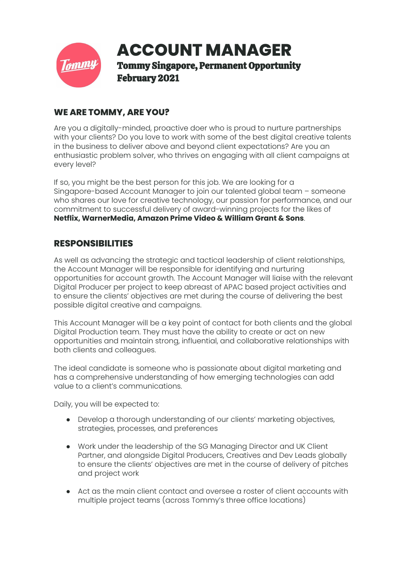

## **WE ARE TOMMY, ARE YOU?**

Are you a digitally-minded, proactive doer who is proud to nurture partnerships with your clients? Do you love to work with some of the best digital creative talents in the business to deliver above and beyond client expectations? Are you an enthusiastic problem solver, who thrives on engaging with all client campaigns at every level?

If so, you might be the best person for this job. We are looking for a Singapore-based Account Manager to join our talented global team – someone who shares our love for creative technology, our passion for performance, and our commitment to successful delivery of award-winning projects for the likes of **Netflix, WarnerMedia, Amazon Prime Video & William Grant & Sons**.

# **RESPONSIBILITIES**

As well as advancing the strategic and tactical leadership of client relationships, the Account Manager will be responsible for identifying and nurturing opportunities for account growth. The Account Manager will liaise with the relevant Digital Producer per project to keep abreast of APAC based project activities and to ensure the clients' objectives are met during the course of delivering the best possible digital creative and campaigns.

This Account Manager will be a key point of contact for both clients and the global Digital Production team. They must have the ability to create or act on new opportunities and maintain strong, influential, and collaborative relationships with both clients and colleagues.

The ideal candidate is someone who is passionate about digital marketing and has a comprehensive understanding of how emerging technologies can add value to a client's communications.

Daily, you will be expected to:

- Develop a thorough understanding of our clients' marketing objectives, strategies, processes, and preferences
- Work under the leadership of the SG Managing Director and UK Client Partner, and alongside Digital Producers, Creatives and Dev Leads globally to ensure the clients' objectives are met in the course of delivery of pitches and project work
- Act as the main client contact and oversee a roster of client accounts with multiple project teams (across Tommy's three office locations)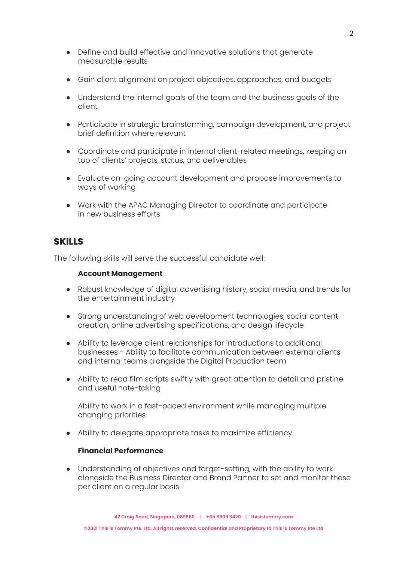- Define and build effective and innovative solutions that generate measurable results
- Gain client alignment on project objectives, approaches, and budgets
- Understand the internal goals of the team and the business goals of the client
- Participate in strategic brainstorming, campaign development, and project brief definition where relevant
- Coordinate and participate in internal client-related meetings, keeping on top of clients' projects, status, and deliverables
- Evaluate on-going account development and propose improvements to ways of working
- Work with the APAC Managing Director to coordinate and participate in new business efforts

### **SKILLS**

The following skills will serve the successful candidate well:

#### **Account Management**

- Robust knowledge of digital advertising history, social media, and trends for the entertainment industry
- Strong understanding of web development technologies, social content creation, online advertising specifications, and design lifecycle
- Ability to leverage client relationships for introductions to additional businesses - Ability to facilitate communication between external clients and internal teams alongside the Digital Production team
- Ability to read film scripts swiftly with great attention to detail and pristine and useful note-taking

Ability to work in a fast-paced environment while managing multiple changing priorities

● Ability to delegate appropriate tasks to maximize efficiency

#### **Financial Performance**

Understanding of objectives and target-setting, with the ability to work alongside the Business Director and Brand Partner to set and monitor these per client on a regular basis